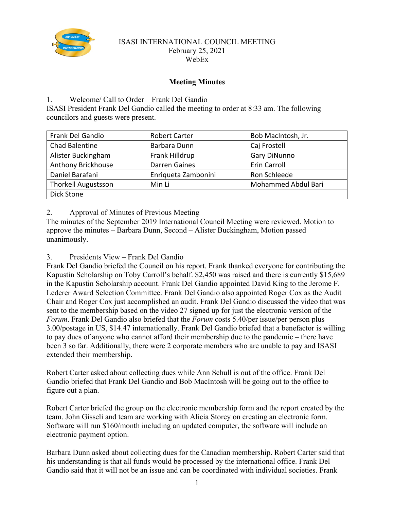

#### ISASI INTERNATIONAL COUNCIL MEETING February 25, 2021 WebEx

# **Meeting Minutes**

### 1. Welcome/ Call to Order – Frank Del Gandio

ISASI President Frank Del Gandio called the meeting to order at 8:33 am. The following councilors and guests were present.

| Frank Del Gandio           | <b>Robert Carter</b> | Bob MacIntosh, Jr.  |
|----------------------------|----------------------|---------------------|
| Chad Balentine             | Barbara Dunn         | Caj Frostell        |
| Alister Buckingham         | Frank Hilldrup       | <b>Gary DiNunno</b> |
| Anthony Brickhouse         | Darren Gaines        | Erin Carroll        |
| Daniel Barafani            | Enriqueta Zambonini  | Ron Schleede        |
| <b>Thorkell Augustsson</b> | Min Li               | Mohammed Abdul Bari |
| Dick Stone                 |                      |                     |

2. Approval of Minutes of Previous Meeting

The minutes of the September 2019 International Council Meeting were reviewed. Motion to approve the minutes – Barbara Dunn, Second – Alister Buckingham, Motion passed unanimously.

3. Presidents View – Frank Del Gandio

Frank Del Gandio briefed the Council on his report. Frank thanked everyone for contributing the Kapustin Scholarship on Toby Carroll's behalf. \$2,450 was raised and there is currently \$15,689 in the Kapustin Scholarship account. Frank Del Gandio appointed David King to the Jerome F. Lederer Award Selection Committee. Frank Del Gandio also appointed Roger Cox as the Audit Chair and Roger Cox just accomplished an audit. Frank Del Gandio discussed the video that was sent to the membership based on the video 27 signed up for just the electronic version of the *Forum*. Frank Del Gandio also briefed that the *Forum* costs 5.40/per issue/per person plus 3.00/postage in US, \$14.47 internationally. Frank Del Gandio briefed that a benefactor is willing to pay dues of anyone who cannot afford their membership due to the pandemic – there have been 3 so far. Additionally, there were 2 corporate members who are unable to pay and ISASI extended their membership.

Robert Carter asked about collecting dues while Ann Schull is out of the office. Frank Del Gandio briefed that Frank Del Gandio and Bob MacIntosh will be going out to the office to figure out a plan.

Robert Carter briefed the group on the electronic membership form and the report created by the team. John Gisseli and team are working with Alicia Storey on creating an electronic form. Software will run \$160/month including an updated computer, the software will include an electronic payment option.

Barbara Dunn asked about collecting dues for the Canadian membership. Robert Carter said that his understanding is that all funds would be processed by the international office. Frank Del Gandio said that it will not be an issue and can be coordinated with individual societies. Frank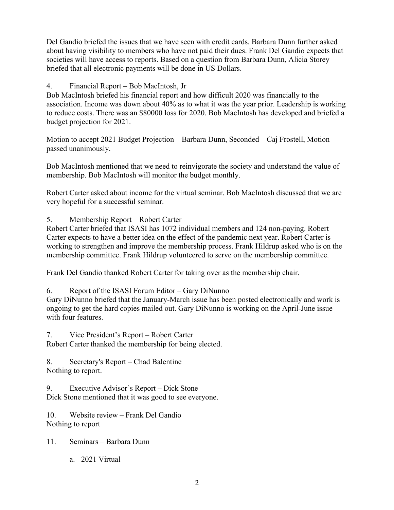Del Gandio briefed the issues that we have seen with credit cards. Barbara Dunn further asked about having visibility to members who have not paid their dues. Frank Del Gandio expects that societies will have access to reports. Based on a question from Barbara Dunn, Alicia Storey briefed that all electronic payments will be done in US Dollars.

# 4. Financial Report – Bob MacIntosh, Jr

Bob MacIntosh briefed his financial report and how difficult 2020 was financially to the association. Income was down about 40% as to what it was the year prior. Leadership is working to reduce costs. There was an \$80000 loss for 2020. Bob MacIntosh has developed and briefed a budget projection for 2021.

Motion to accept 2021 Budget Projection – Barbara Dunn, Seconded – Caj Frostell, Motion passed unanimously.

Bob MacIntosh mentioned that we need to reinvigorate the society and understand the value of membership. Bob MacIntosh will monitor the budget monthly.

Robert Carter asked about income for the virtual seminar. Bob MacIntosh discussed that we are very hopeful for a successful seminar.

5. Membership Report – Robert Carter

Robert Carter briefed that ISASI has 1072 individual members and 124 non-paying. Robert Carter expects to have a better idea on the effect of the pandemic next year. Robert Carter is working to strengthen and improve the membership process. Frank Hildrup asked who is on the membership committee. Frank Hildrup volunteered to serve on the membership committee.

Frank Del Gandio thanked Robert Carter for taking over as the membership chair.

6. Report of the ISASI Forum Editor – Gary DiNunno

Gary DiNunno briefed that the January-March issue has been posted electronically and work is ongoing to get the hard copies mailed out. Gary DiNunno is working on the April-June issue with four features.

7. Vice President's Report – Robert Carter Robert Carter thanked the membership for being elected.

8. Secretary's Report – Chad Balentine Nothing to report.

9. Executive Advisor's Report – Dick Stone Dick Stone mentioned that it was good to see everyone.

10. Website review – Frank Del Gandio Nothing to report

- 11. Seminars Barbara Dunn
	- a. 2021 Virtual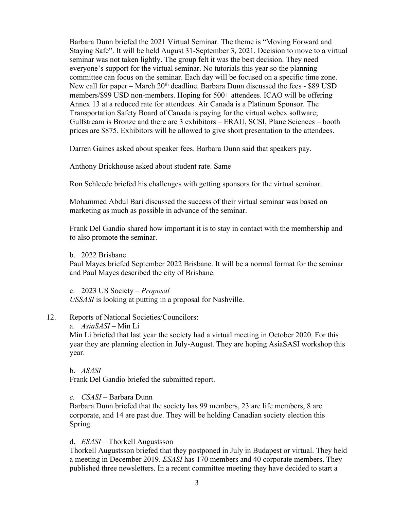Barbara Dunn briefed the 2021 Virtual Seminar. The theme is "Moving Forward and Staying Safe". It will be held August 31-September 3, 2021. Decision to move to a virtual seminar was not taken lightly. The group felt it was the best decision. They need everyone's support for the virtual seminar. No tutorials this year so the planning committee can focus on the seminar. Each day will be focused on a specific time zone. New call for paper – March  $20<sup>th</sup>$  deadline. Barbara Dunn discussed the fees - \$89 USD members/\$99 USD non-members. Hoping for 500+ attendees. ICAO will be offering Annex 13 at a reduced rate for attendees. Air Canada is a Platinum Sponsor. The Transportation Safety Board of Canada is paying for the virtual webex software; Gulfstream is Bronze and there are 3 exhibitors – ERAU, SCSI, Plane Sciences – booth prices are \$875. Exhibitors will be allowed to give short presentation to the attendees.

Darren Gaines asked about speaker fees. Barbara Dunn said that speakers pay.

Anthony Brickhouse asked about student rate. Same

Ron Schleede briefed his challenges with getting sponsors for the virtual seminar.

Mohammed Abdul Bari discussed the success of their virtual seminar was based on marketing as much as possible in advance of the seminar.

Frank Del Gandio shared how important it is to stay in contact with the membership and to also promote the seminar.

b. 2022 Brisbane

Paul Mayes briefed September 2022 Brisbane. It will be a normal format for the seminar and Paul Mayes described the city of Brisbane.

c. 2023 US Society – *Proposal USSASI* is looking at putting in a proposal for Nashville.

- 12. Reports of National Societies/Councilors:
	- a. *AsiaSASI –* Min Li

Min Li briefed that last year the society had a virtual meeting in October 2020. For this year they are planning election in July-August. They are hoping AsiaSASI workshop this year.

b. *ASASI* 

Frank Del Gandio briefed the submitted report.

*c. CSASI –* Barbara Dunn

Barbara Dunn briefed that the society has 99 members, 23 are life members, 8 are corporate, and 14 are past due. They will be holding Canadian society election this Spring.

d. *ESASI –* Thorkell Augustsson

Thorkell Augustsson briefed that they postponed in July in Budapest or virtual. They held a meeting in December 2019. *ESASI* has 170 members and 40 corporate members. They published three newsletters. In a recent committee meeting they have decided to start a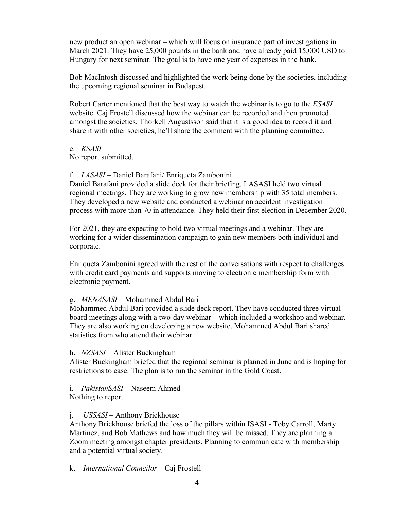new product an open webinar – which will focus on insurance part of investigations in March 2021. They have 25,000 pounds in the bank and have already paid 15,000 USD to Hungary for next seminar. The goal is to have one year of expenses in the bank.

Bob MacIntosh discussed and highlighted the work being done by the societies, including the upcoming regional seminar in Budapest.

Robert Carter mentioned that the best way to watch the webinar is to go to the *ESASI* website. Caj Frostell discussed how the webinar can be recorded and then promoted amongst the societies. Thorkell Augustsson said that it is a good idea to record it and share it with other societies, he'll share the comment with the planning committee.

e. *KSASI* –

No report submitted.

### f. *LASASI* – Daniel Barafani/ Enriqueta Zambonini

Daniel Barafani provided a slide deck for their briefing. LASASI held two virtual regional meetings. They are working to grow new membership with 35 total members. They developed a new website and conducted a webinar on accident investigation process with more than 70 in attendance. They held their first election in December 2020.

For 2021, they are expecting to hold two virtual meetings and a webinar. They are working for a wider dissemination campaign to gain new members both individual and corporate.

Enriqueta Zambonini agreed with the rest of the conversations with respect to challenges with credit card payments and supports moving to electronic membership form with electronic payment.

#### g. *MENASASI –* Mohammed Abdul Bari

Mohammed Abdul Bari provided a slide deck report. They have conducted three virtual board meetings along with a two-day webinar – which included a workshop and webinar. They are also working on developing a new website. Mohammed Abdul Bari shared statistics from who attend their webinar.

#### h. *NZSASI* – Alister Buckingham

Alister Buckingham briefed that the regional seminar is planned in June and is hoping for restrictions to ease. The plan is to run the seminar in the Gold Coast.

## i. *PakistanSASI* – Naseem Ahmed

Nothing to report

## j. *USSASI* – Anthony Brickhouse

Anthony Brickhouse briefed the loss of the pillars within ISASI - Toby Carroll, Marty Martinez, and Bob Mathews and how much they will be missed. They are planning a Zoom meeting amongst chapter presidents. Planning to communicate with membership and a potential virtual society.

k. *International Councilor –* Caj Frostell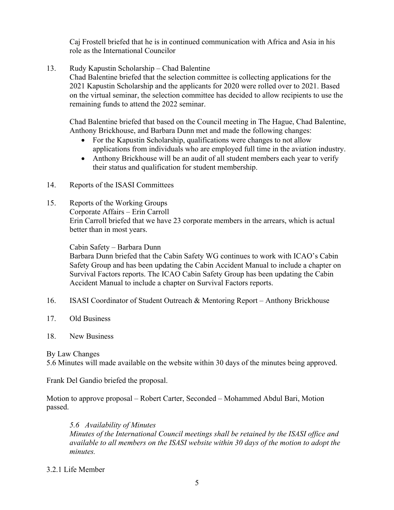Caj Frostell briefed that he is in continued communication with Africa and Asia in his role as the International Councilor

13. Rudy Kapustin Scholarship – Chad Balentine

Chad Balentine briefed that the selection committee is collecting applications for the 2021 Kapustin Scholarship and the applicants for 2020 were rolled over to 2021. Based on the virtual seminar, the selection committee has decided to allow recipients to use the remaining funds to attend the 2022 seminar.

Chad Balentine briefed that based on the Council meeting in The Hague, Chad Balentine, Anthony Brickhouse, and Barbara Dunn met and made the following changes:

- For the Kapustin Scholarship, qualifications were changes to not allow applications from individuals who are employed full time in the aviation industry.
- Anthony Brickhouse will be an audit of all student members each year to verify their status and qualification for student membership.
- 14. Reports of the ISASI Committees
- 15. Reports of the Working Groups Corporate Affairs – Erin Carroll Erin Carroll briefed that we have 23 corporate members in the arrears, which is actual better than in most years.

Cabin Safety – Barbara Dunn

Barbara Dunn briefed that the Cabin Safety WG continues to work with ICAO's Cabin Safety Group and has been updating the Cabin Accident Manual to include a chapter on Survival Factors reports. The ICAO Cabin Safety Group has been updating the Cabin Accident Manual to include a chapter on Survival Factors reports.

- 16. ISASI Coordinator of Student Outreach & Mentoring Report Anthony Brickhouse
- 17. Old Business
- 18. New Business

By Law Changes

5.6 Minutes will made available on the website within 30 days of the minutes being approved.

Frank Del Gandio briefed the proposal.

Motion to approve proposal – Robert Carter, Seconded – Mohammed Abdul Bari, Motion passed.

*5.6 Availability of Minutes Minutes of the International Council meetings shall be retained by the ISASI office and available to all members on the ISASI website within 30 days of the motion to adopt the minutes.*

#### 3.2.1 Life Member